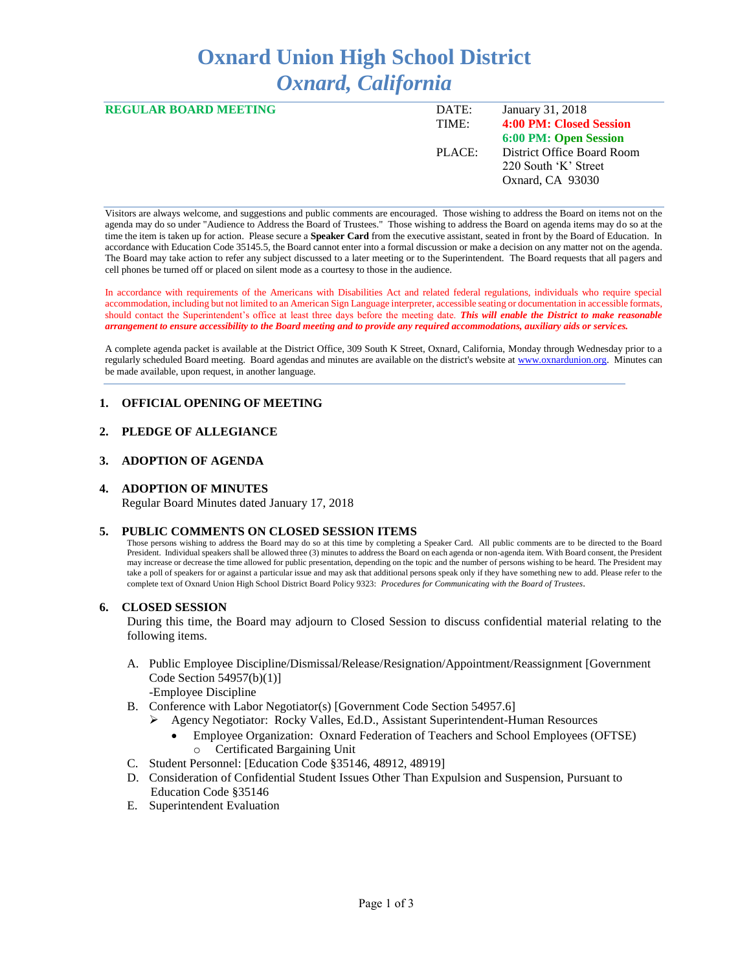# **Oxnard Union High School District** *Oxnard, California*

| <b>REGULAR BOARD MEETING</b> | DATE:  | January 31, 2018           |
|------------------------------|--------|----------------------------|
|                              | TIME:  | 4:00 PM: Closed Session    |
|                              |        | 6:00 PM: Open Session      |
|                              | PLACE: | District Office Board Room |
|                              |        | 220 South 'K' Street       |
|                              |        | Oxnard, CA 93030           |
|                              |        |                            |

Visitors are always welcome, and suggestions and public comments are encouraged. Those wishing to address the Board on items not on the agenda may do so under "Audience to Address the Board of Trustees." Those wishing to address the Board on agenda items may do so at the time the item is taken up for action. Please secure a **Speaker Card** from the executive assistant, seated in front by the Board of Education. In accordance with Education Code 35145.5, the Board cannot enter into a formal discussion or make a decision on any matter not on the agenda. The Board may take action to refer any subject discussed to a later meeting or to the Superintendent. The Board requests that all pagers and cell phones be turned off or placed on silent mode as a courtesy to those in the audience.

In accordance with requirements of the Americans with Disabilities Act and related federal regulations, individuals who require special accommodation, including but not limited to an American Sign Language interpreter, accessible seating or documentation in accessible formats, should contact the Superintendent's office at least three days before the meeting date. *This will enable the District to make reasonable arrangement to ensure accessibility to the Board meeting and to provide any required accommodations, auxiliary aids or services.* 

A complete agenda packet is available at the District Office, 309 South K Street, Oxnard, California, Monday through Wednesday prior to a regularly scheduled Board meeting. Board agendas and minutes are available on the district's website a[t www.oxnardunion.org.](http://www.oxnardunion.org/)Minutes can be made available, upon request, in another language.

## **1. OFFICIAL OPENING OF MEETING**

## **2. PLEDGE OF ALLEGIANCE**

## **3. ADOPTION OF AGENDA**

## **4. ADOPTION OF MINUTES**

Regular Board Minutes dated January 17, 2018

#### **5. PUBLIC COMMENTS ON CLOSED SESSION ITEMS**

Those persons wishing to address the Board may do so at this time by completing a Speaker Card. All public comments are to be directed to the Board President. Individual speakers shall be allowed three (3) minutes to address the Board on each agenda or non-agenda item. With Board consent, the President may increase or decrease the time allowed for public presentation, depending on the topic and the number of persons wishing to be heard. The President may take a poll of speakers for or against a particular issue and may ask that additional persons speak only if they have something new to add. Please refer to the complete text of Oxnard Union High School District Board Policy 9323: *Procedures for Communicating with the Board of Trustees*.

#### **6. CLOSED SESSION**

During this time, the Board may adjourn to Closed Session to discuss confidential material relating to the following items.

- A. Public Employee Discipline/Dismissal/Release/Resignation/Appointment/Reassignment [Government Code Section 54957(b)(1)] -Employee Discipline
- B. Conference with Labor Negotiator(s) [Government Code Section 54957.6]
	- ➢ Agency Negotiator: Rocky Valles, Ed.D., Assistant Superintendent-Human Resources
		- Employee Organization: Oxnard Federation of Teachers and School Employees (OFTSE) o Certificated Bargaining Unit
- C. Student Personnel: [Education Code §35146, 48912, 48919]
- D. Consideration of Confidential Student Issues Other Than Expulsion and Suspension, Pursuant to Education Code §35146
- E. Superintendent Evaluation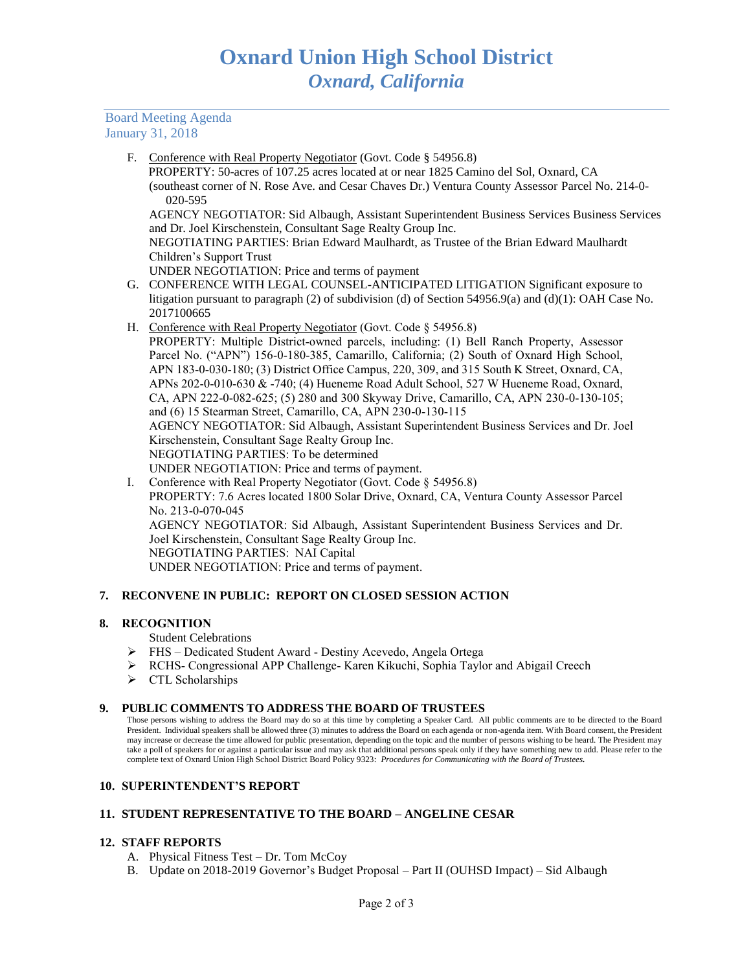Board Meeting Agenda January 31, 2018

F. Conference with Real Property Negotiator (Govt. Code § 54956.8)

 PROPERTY: 50-acres of 107.25 acres located at or near 1825 Camino del Sol, Oxnard, CA (southeast corner of N. Rose Ave. and Cesar Chaves Dr.) Ventura County Assessor Parcel No. 214-0- 020-595

AGENCY NEGOTIATOR: Sid Albaugh, Assistant Superintendent Business Services Business Services and Dr. Joel Kirschenstein, Consultant Sage Realty Group Inc.

NEGOTIATING PARTIES: Brian Edward Maulhardt, as Trustee of the Brian Edward Maulhardt Children's Support Trust

UNDER NEGOTIATION: Price and terms of payment

- G. CONFERENCE WITH LEGAL COUNSEL-ANTICIPATED LITIGATION Significant exposure to litigation pursuant to paragraph (2) of subdivision (d) of Section 54956.9(a) and (d)(1): OAH Case No. 2017100665
- H. Conference with Real Property Negotiator (Govt. Code § 54956.8)

PROPERTY: Multiple District-owned parcels, including: (1) Bell Ranch Property, Assessor Parcel No. ("APN") 156-0-180-385, Camarillo, California; (2) South of Oxnard High School, APN 183-0-030-180; (3) District Office Campus, 220, 309, and 315 South K Street, Oxnard, CA, APNs 202-0-010-630 & -740; (4) Hueneme Road Adult School, 527 W Hueneme Road, Oxnard, CA, APN 222-0-082-625; (5) 280 and 300 Skyway Drive, Camarillo, CA, APN 230-0-130-105; and (6) 15 Stearman Street, Camarillo, CA, APN 230-0-130-115 AGENCY NEGOTIATOR: Sid Albaugh, Assistant Superintendent Business Services and Dr. Joel Kirschenstein, Consultant Sage Realty Group Inc. NEGOTIATING PARTIES: To be determined

- UNDER NEGOTIATION: Price and terms of payment.
- I. Conference with Real Property Negotiator (Govt. Code § 54956.8) PROPERTY: 7.6 Acres located 1800 Solar Drive, Oxnard, CA, Ventura County Assessor Parcel No. 213-0-070-045 AGENCY NEGOTIATOR: Sid Albaugh, Assistant Superintendent Business Services and Dr. Joel Kirschenstein, Consultant Sage Realty Group Inc. NEGOTIATING PARTIES: NAI Capital UNDER NEGOTIATION: Price and terms of payment.

# **7. RECONVENE IN PUBLIC: REPORT ON CLOSED SESSION ACTION**

# **8. RECOGNITION**

Student Celebrations

- ➢ FHS Dedicated Student Award Destiny Acevedo, Angela Ortega
- ➢ RCHS- Congressional APP Challenge- Karen Kikuchi, Sophia Taylor and Abigail Creech
- ➢ CTL Scholarships

## **9. PUBLIC COMMENTS TO ADDRESS THE BOARD OF TRUSTEES**

Those persons wishing to address the Board may do so at this time by completing a Speaker Card. All public comments are to be directed to the Board President. Individual speakers shall be allowed three (3) minutes to address the Board on each agenda or non-agenda item. With Board consent, the President may increase or decrease the time allowed for public presentation, depending on the topic and the number of persons wishing to be heard. The President may take a poll of speakers for or against a particular issue and may ask that additional persons speak only if they have something new to add. Please refer to the complete text of Oxnard Union High School District Board Policy 9323: *Procedures for Communicating with the Board of Trustees.*

## **10. SUPERINTENDENT'S REPORT**

# **11. STUDENT REPRESENTATIVE TO THE BOARD – ANGELINE CESAR**

## **12. STAFF REPORTS**

- A. Physical Fitness Test Dr. Tom McCoy
- B. Update on 2018-2019 Governor's Budget Proposal Part II (OUHSD Impact) Sid Albaugh